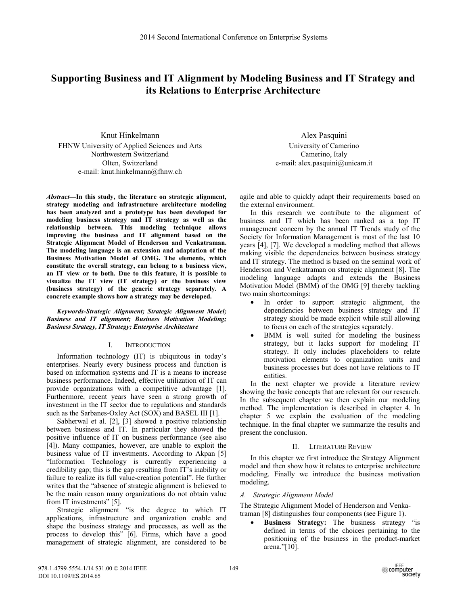# **Supporting Business and IT Alignment by Modeling Business and IT Strategy and its Relations to Enterprise Architecture**

Knut Hinkelmann FHNW University of Applied Sciences and Arts Northwestern Switzerland Olten, Switzerland e-mail: knut.hinkelmann@fhnw.ch

*Abstract***—In this study, the literature on strategic alignment, strategy modeling and infrastructure architecture modeling has been analyzed and a prototype has been developed for modeling business strategy and IT strategy as well as the relationship between. This modeling technique allows improving the business and IT alignment based on the Strategic Alignment Model of Henderson and Venkatraman. The modeling language is an extension and adaptation of the Business Motivation Model of OMG. The elements, which constitute the overall strategy, can belong to a business view, an IT view or to both. Due to this feature, it is possible to visualize the IT view (IT strategy) or the business view (business strategy) of the generic strategy separately. A concrete example shows how a strategy may be developed.** 

*Keywords-Strategic Alignment; Strategic Alignment Model; Business and IT alignment; Business Motivation Modeling; Business Strategy, IT Strategy; Enterprise Architecture* 

## I. INTRODUCTION

Information technology (IT) is ubiquitous in today's enterprises. Nearly every business process and function is based on information systems and IT is a means to increase business performance. Indeed, effective utilization of IT can provide organizations with a competitive advantage [1]. Furthermore, recent years have seen a strong growth of investment in the IT sector due to regulations and standards such as the Sarbanes-Oxley Act (SOX) and BASEL III [1].

Sabherwal et al. [2], [3] showed a positive relationship between business and IT. In particular they showed the positive influence of IT on business performance (see also [4]). Many companies, however, are unable to exploit the business value of IT investments. According to Akpan [5] "Information Technology is currently experiencing a credibility gap; this is the gap resulting from IT's inability or failure to realize its full value-creation potential". He further writes that the "absence of strategic alignment is believed to be the main reason many organizations do not obtain value from IT investments" [5].

Strategic alignment "is the degree to which IT applications, infrastructure and organization enable and shape the business strategy and processes, as well as the process to develop this" [6]. Firms, which have a good management of strategic alignment, are considered to be

Alex Pasquini University of Camerino Camerino, Italy e-mail: alex.pasquini@unicam.it

agile and able to quickly adapt their requirements based on the external environment.

In this research we contribute to the alignment of business and IT which has been ranked as a top IT management concern by the annual IT Trends study of the Society for Information Management is most of the last 10 years [4], [7]. We developed a modeling method that allows making visible the dependencies between business strategy and IT strategy. The method is based on the seminal work of Henderson and Venkatraman on strategic alignment [8]. The modeling language adapts and extends the Business Motivation Model (BMM) of the OMG [9] thereby tackling two main shortcomings:

- In order to support strategic alignment, the dependencies between business strategy and IT strategy should be made explicit while still allowing to focus on each of the strategies separately.
- BMM is well suited for modeling the business strategy, but it lacks support for modeling IT strategy. It only includes placeholders to relate motivation elements to organization units and business processes but does not have relations to IT entities.

In the next chapter we provide a literature review showing the basic concepts that are relevant for our research. In the subsequent chapter we then explain our modeling method. The implementation is described in chapter 4. In chapter 5 we explain the evaluation of the modeling technique. In the final chapter we summarize the results and present the conclusion.

#### II. LITERATURE REVIEW

In this chapter we first introduce the Strategy Alignment model and then show how it relates to enterprise architecture modeling. Finally we introduce the business motivation modeling.

## *A. Strategic Alignment Model*

The Strategic Alignment Model of Henderson and Venkatraman [8] distinguishes four components (see Figure 1).

**Business Strategy:** The business strategy "is defined in terms of the choices pertaining to the positioning of the business in the product-market arena."[10].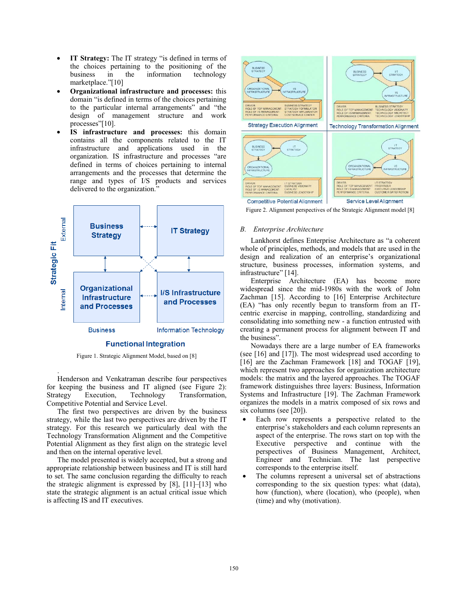- **IT Strategy:** The IT strategy "is defined in terms of the choices pertaining to the positioning of the business in the information technology in the information marketplace."[10]
- **Organizational infrastructure and processes:** this domain "is defined in terms of the choices pertaining to the particular internal arrangements" and "the design of management structure and work processes"[10].
- **IS infrastructure and processes:** this domain contains all the components related to the IT infrastructure and applications used in the organization. IS infrastructure and processes "are defined in terms of choices pertaining to internal arrangements and the processes that determine the range and types of I/S products and services delivered to the organization."



Figure 1. Strategic Alignment Model, based on [8]

.

Henderson and Venkatraman describe four perspectives for keeping the business and IT aligned (see Figure 2):<br>Strategy Execution, Technology Transformation, Strategy Execution, Technology Transformation, Competitive Potential and Service Level.

The first two perspectives are driven by the business strategy, while the last two perspectives are driven by the IT strategy. For this research we particularly deal with the Technology Transformation Alignment and the Competitive Potential Alignment as they first align on the strategic level and then on the internal operative level.

The model presented is widely accepted, but a strong and appropriate relationship between business and IT is still hard to set. The same conclusion regarding the difficulty to reach the strategic alignment is expressed by [8], [11]–[13] who state the strategic alignment is an actual critical issue which is affecting IS and IT executives.



Figure 2. Alignment perspectives of the Strategic Alignment model [8]

#### *B. Enterprise Architecture*

Lankhorst defines Enterprise Architecture as "a coherent whole of principles, methods, and models that are used in the design and realization of an enterprise's organizational structure, business processes, information systems, and infrastructure" [14].

Enterprise Architecture (EA) has become more widespread since the mid-1980s with the work of John Zachman [15]. According to [16] Enterprise Architecture (EA) "has only recently begun to transform from an ITcentric exercise in mapping, controlling, standardizing and consolidating into something new - a function entrusted with creating a permanent process for alignment between IT and the business".

Nowadays there are a large number of EA frameworks (see [16] and [17]). The most widespread used according to [16] are the Zachman Framework [18] and TOGAF [19], which represent two approaches for organization architecture models: the matrix and the layered approaches. The TOGAF framework distinguishes three layers: Business, Information Systems and Infrastructure [19]. The Zachman Framework organizes the models in a matrix composed of six rows and six columns (see [20]).

- Each row represents a perspective related to the enterprise's stakeholders and each column represents an aspect of the enterprise. The rows start on top with the Executive perspective and continue with the perspectives of Business Management, Architect, Engineer and Technician. The last perspective corresponds to the enterprise itself.
- The columns represent a universal set of abstractions corresponding to the six question types: what (data), how (function), where (location), who (people), when (time) and why (motivation).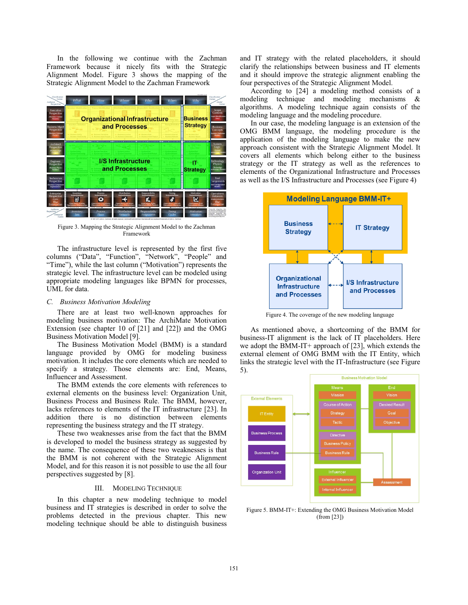In the following we continue with the Zachman Framework because it nicely fits with the Strategic Alignment Model. Figure 3 shows the mapping of the Strategic Alignment Model to the Zachman Framework

| Classification<br>Names<br>Audience<br>Perspectives                               | What                                                                                                                     | How                                                                                                       | Where                                                                                                                                     | Who                                                                                                               | When                                                                             | Why                                                                                            | Classification<br>Names<br>Model<br><b>Alamed</b>                                                                                                                                                    |
|-----------------------------------------------------------------------------------|--------------------------------------------------------------------------------------------------------------------------|-----------------------------------------------------------------------------------------------------------|-------------------------------------------------------------------------------------------------------------------------------------------|-------------------------------------------------------------------------------------------------------------------|----------------------------------------------------------------------------------|------------------------------------------------------------------------------------------------|------------------------------------------------------------------------------------------------------------------------------------------------------------------------------------------------------|
| Executive<br><b>Perspective</b><br><b>Business Contrat</b><br><b>Planners</b> )   | wentory Identification                                                                                                   | Process Identification                                                                                    | Distribution Identification                                                                                                               | Remonstrativ Identificatio<br><b>Organizational Infrastructure</b>                                                | <b>Taning Identificatio</b>                                                      | <b>Business</b>                                                                                | Scope<br><b>Contexts</b><br>cope Identification<br>Littel.                                                                                                                                           |
| <b>Business Mgmt</b><br>Perspective<br><b>Business Concept</b><br><b>Chamers!</b> | Inventory Definition<br><b><i>Bysteese Entity</i></b><br><b>Bestesse Relationship</b>                                    | <b>in Business Transform</b><br>- Basicosa Innati Octave                                                  | and Processes<br>A. Postness Location<br>+ Business Connection                                                                            | <b>E Basiness Role</b><br>- Business Werk Frederi                                                                 | <b>Timing Detinition</b><br><b>Indisc Interval</b><br><b>Russian Co Marriage</b> | <b>Strategy</b><br><b>A Basiness End</b><br><b>Business Means</b>                              | <b>Business</b><br>Concepts<br>usiness Definition<br><b>Models</b>                                                                                                                                   |
| Architect<br><b>Perspective</b><br>ess Louis<br>(8)                               | <b>MELOYUOLOMETOCEDELOMINU</b>                                                                                           |                                                                                                           | IN 18 YO FEMALES, WITHOUT THE RELEASE REPORT OF THE RELEASE OF THE VEHICLE CONTINUES AND DESCRIPTIONS OF THE COMPONENTS OF THE CONTINUES. |                                                                                                                   | <b>THE REPORT OF STREET AND RESIDENT</b>                                         | <b>MEANING MARKETING SCHOOL SECTION WAS CITED</b>                                              | System<br>Logic                                                                                                                                                                                      |
| Engineer<br>Perspective<br>(Business Physics<br>Building:                         |                                                                                                                          |                                                                                                           | I/S Infrastructure<br>and Processes                                                                                                       |                                                                                                                   |                                                                                  | <b>Strategy</b>                                                                                | <b>Technology</b><br><b>Physics</b><br>(Technology)<br>reitication Models                                                                                                                            |
| Technician<br><b>Perspective</b><br><b>Business Component</b><br>Implementers)    |                                                                                                                          |                                                                                                           |                                                                                                                                           |                                                                                                                   |                                                                                  |                                                                                                | Tool<br><b>Components</b><br>Tool Configuration<br>Mocks2)                                                                                                                                           |
| Enterprise<br>Perspective<br>(Users)<br><b>The</b><br>Enterprise                  | <b>Inventory</b><br>Instantiations<br>G<br>Operations Entities<br>Operations Relationships<br><b>Composition Integer</b> | <b>Process</b><br>Instantiations<br>₩<br>Operations Transforms<br>Operations In/Outputs<br>$\overline{1}$ | <b>Distribution</b><br>Instantiations<br>Operations Locations<br><b>Operations Connections</b>                                            | <b>Responsibility</b><br>Instantiations<br><b>Onerations Roles</b><br>Operations Work Products<br>                | Timing<br>Instantiations<br>Operations Intervals<br>Operations Moments           | Motivation<br>Instantiations<br>ГN<br>Operations Ends<br>Operations Mean:<br>,,,,,,,,,,,,,,,,, | <b>Operations</b><br><b>Instances</b><br>(htplementations)<br>The<br><b>Enterprise</b>                                                                                                               |
| Audience<br>Perpectives<br>Enterprise<br><b>Names</b>                             | Inventory<br>Sets                                                                                                        | <b>Process</b><br><b>Flaws</b><br>@ 1957-2011 John & Zachman, all                                         | <b>Distribution</b><br><b>Networks</b>                                                                                                    | <b>Responsibility</b><br><b>Assignments</b><br>Technical and Technical InternationalB are recipient trademarks of | <b>Timing</b><br>Cycles                                                          | Motivation<br><b>Intentions</b>                                                                | <b>Hydrodal Infarration Inn</b><br>are shown for example purposes<br>anticandane not a simisfata sett<br>Compenie, integrative mix-<br>Simplex armeding come cell<br>horizontally actentially exist. |

Figure 3. Mapping the Strategic Alignment Model to the Zachman Framework

The infrastructure level is represented by the first five columns ("Data", "Function", "Network", "People" and "Time"), while the last column ("Motivation") represents the strategic level. The infrastructure level can be modeled using appropriate modeling languages like BPMN for processes, UML for data.

### *C. Business Motivation Modeling*

There are at least two well-known approaches for modeling business motivation: The ArchiMate Motivation Extension (see chapter 10 of [21] and [22]) and the OMG Business Motivation Model [9].

The Business Motivation Model (BMM) is a standard language provided by OMG for modeling business motivation. It includes the core elements which are needed to specify a strategy. Those elements are: End, Means, Influencer and Assessment.

The BMM extends the core elements with references to external elements on the business level: Organization Unit, Business Process and Business Rule. The BMM, however, lacks references to elements of the IT infrastructure [23]. In addition there is no distinction between elements representing the business strategy and the IT strategy.

These two weaknesses arise from the fact that the BMM is developed to model the business strategy as suggested by the name. The consequence of these two weaknesses is that the BMM is not coherent with the Strategic Alignment Model, and for this reason it is not possible to use the all four perspectives suggested by [8].

# III. MODELING TECHNIQUE

In this chapter a new modeling technique to model business and IT strategies is described in order to solve the problems detected in the previous chapter. This new modeling technique should be able to distinguish business and IT strategy with the related placeholders, it should clarify the relationships between business and IT elements and it should improve the strategic alignment enabling the four perspectives of the Strategic Alignment Model.

According to [24] a modeling method consists of a modeling technique and modeling mechanisms & algorithms. A modeling technique again consists of the modeling language and the modeling procedure.

In our case, the modeling language is an extension of the OMG BMM language, the modeling procedure is the application of the modeling language to make the new approach consistent with the Strategic Alignment Model. It covers all elements which belong either to the business strategy or the IT strategy as well as the references to elements of the Organizational Infrastructure and Processes as well as the I/S Infrastructure and Processes (see Figure 4)



Figure 4. The coverage of the new modeling language

As mentioned above, a shortcoming of the BMM for business-IT alignment is the lack of IT placeholders. Here we adopt the BMM-IT+ approach of [23], which extends the external element of OMG BMM with the IT Entity, which links the strategic level with the IT-Infrastructure (see Figure 5).



Figure 5. BMM-IT+: Extending the OMG Business Motivation Model (from [23])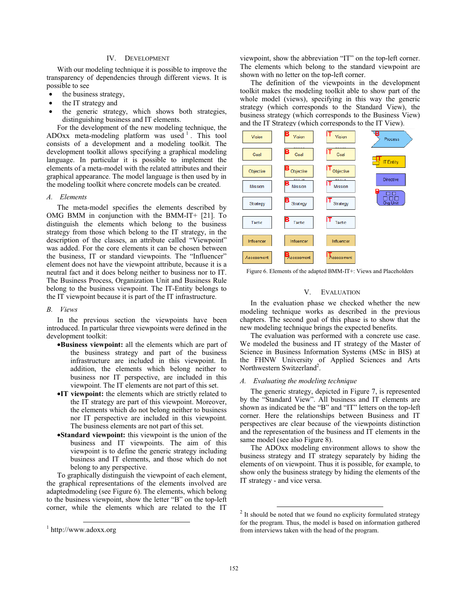# IV. DEVELOPMENT

With our modeling technique it is possible to improve the transparency of dependencies through different views. It is possible to see

- the business strategy,
- the IT strategy and
- the generic strategy, which shows both strategies, distinguishing business and IT elements.

For the development of the new modeling technique, the ADOxx meta-modeling platform was used  $\frac{1}{1}$ . This tool consists of a development and a modeling toolkit. The development toolkit allows specifying a graphical modeling language. In particular it is possible to implement the elements of a meta-model with the related attributes and their graphical appearance. The model language is then used by in the modeling toolkit where concrete models can be created.

#### *A. Elements*

The meta-model specifies the elements described by OMG BMM in conjunction with the BMM-IT+ [21]. To distinguish the elements which belong to the business strategy from those which belong to the IT strategy, in the description of the classes, an attribute called "Viewpoint" was added. For the core elements it can be chosen between the business, IT or standard viewpoints. The "Influencer" element does not have the viewpoint attribute, because it is a neutral fact and it does belong neither to business nor to IT. The Business Process, Organization Unit and Business Rule belong to the business viewpoint. The IT-Entity belongs to the IT viewpoint because it is part of the IT infrastructure.

#### *B. Views*

In the previous section the viewpoints have been introduced. In particular three viewpoints were defined in the development toolkit:

- •**Business viewpoint:** all the elements which are part of the business strategy and part of the business infrastructure are included in this viewpoint. In addition, the elements which belong neither to business nor IT perspective, are included in this viewpoint. The IT elements are not part of this set.
- •**IT viewpoint:** the elements which are strictly related to the IT strategy are part of this viewpoint. Moreover, the elements which do not belong neither to business nor IT perspective are included in this viewpoint. The business elements are not part of this set.
- •**Standard viewpoint:** this viewpoint is the union of the business and IT viewpoints. The aim of this viewpoint is to define the generic strategy including business and IT elements, and those which do not belong to any perspective.

To graphically distinguish the viewpoint of each element, the graphical representations of the elements involved are adaptedmodeling (see Figure 6). The elements, which belong to the business viewpoint, show the letter "B" on the top-left corner, while the elements which are related to the IT viewpoint, show the abbreviation "IT" on the top-left corner. The elements which belong to the standard viewpoint are shown with no letter on the top-left corner.

The definition of the viewpoints in the development toolkit makes the modeling toolkit able to show part of the whole model (views), specifying in this way the generic strategy (which corresponds to the Standard View), the business strategy (which corresponds to the Business View) and the IT Strategy (which corresponds to the IT View).



Figure 6. Elements of the adapted BMM-IT+: Views and Placeholders

### V. EVALUATION

In the evaluation phase we checked whether the new modeling technique works as described in the previous chapters. The second goal of this phase is to show that the new modeling technique brings the expected benefits.

The evaluation was performed with a concrete use case. We modeled the business and IT strategy of the Master of Science in Business Information Systems (MSc in BIS) at the FHNW University of Applied Sciences and Arts Northwestern Switzerland<sup>2</sup>.

#### *A. Evaluating the modeling technique*

The generic strategy, depicted in Figure 7, is represented by the "Standard View". All business and IT elements are shown as indicated be the "B" and "IT" letters on the top-left corner. Here the relationships between Business and IT perspectives are clear because of the viewpoints distinction and the representation of the business and IT elements in the same model (see also Figure 8).

The ADOxx modeling environment allows to show the business strategy and IT strategy separately by hiding the elements of on viewpoint. Thus it is possible, for example, to show only the business strategy by hiding the elements of the IT strategy - and vice versa.

 <sup>1</sup> http://www.adoxx.org

 $2$  It should be noted that we found no explicity formulated strategy for the program. Thus, the model is based on information gathered from interviews taken with the head of the program.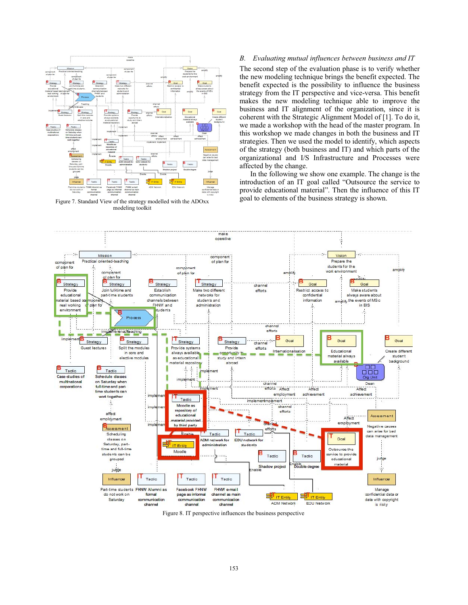

Figure 7. Standard View of the strategy modelled with the ADOxx modeling toolkit

# *B. Evaluating mutual influences between business and IT*

The second step of the evaluation phase is to verify whether the new modeling technique brings the benefit expected. The benefit expected is the possibility to influence the business strategy from the IT perspective and vice-versa. This benefit makes the new modeling technique able to improve the business and IT alignment of the organization, since it is coherent with the Strategic Alignment Model of [1]. To do it, we made a workshop with the head of the master program. In this workshop we made changes in both the business and IT strategies. Then we used the model to identify, which aspects of the strategy (both business and IT) and which parts of the organizational and I/S Infrastructure and Processes were affected by the change.

In the following we show one example. The change is the introduction of an IT goal called "Outsource the service to provide educational material". Then the influence of this IT goal to elements of the business strategy is shown.



Figure 8. IT perspective influences the business perspective